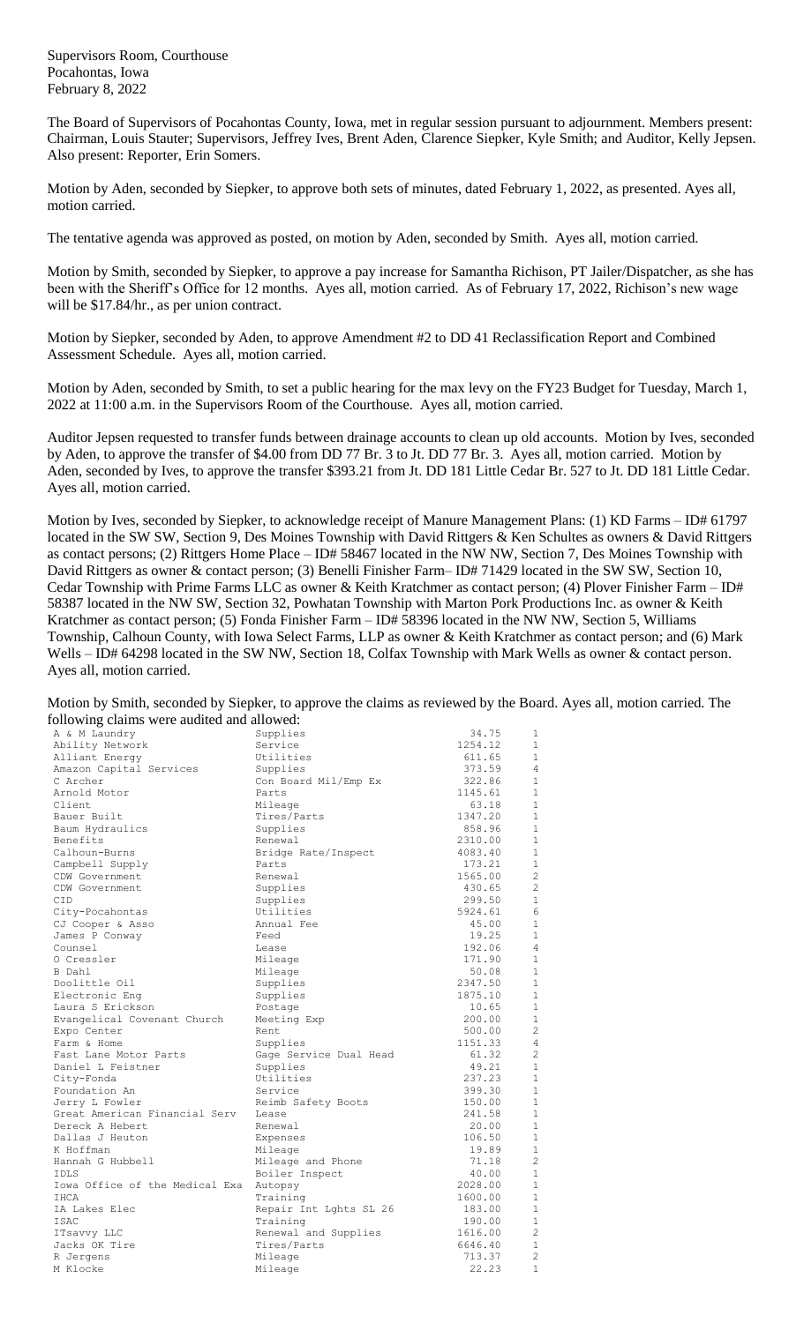Supervisors Room, Courthouse Pocahontas, Iowa February 8, 2022

The Board of Supervisors of Pocahontas County, Iowa, met in regular session pursuant to adjournment. Members present: Chairman, Louis Stauter; Supervisors, Jeffrey Ives, Brent Aden, Clarence Siepker, Kyle Smith; and Auditor, Kelly Jepsen. Also present: Reporter, Erin Somers.

Motion by Aden, seconded by Siepker, to approve both sets of minutes, dated February 1, 2022, as presented. Ayes all, motion carried.

The tentative agenda was approved as posted, on motion by Aden, seconded by Smith. Ayes all, motion carried.

Motion by Smith, seconded by Siepker, to approve a pay increase for Samantha Richison, PT Jailer/Dispatcher, as she has been with the Sheriff's Office for 12 months. Ayes all, motion carried. As of February 17, 2022, Richison's new wage will be \$17.84/hr., as per union contract.

Motion by Siepker, seconded by Aden, to approve Amendment #2 to DD 41 Reclassification Report and Combined Assessment Schedule. Ayes all, motion carried.

Motion by Aden, seconded by Smith, to set a public hearing for the max levy on the FY23 Budget for Tuesday, March 1, 2022 at 11:00 a.m. in the Supervisors Room of the Courthouse. Ayes all, motion carried.

Auditor Jepsen requested to transfer funds between drainage accounts to clean up old accounts. Motion by Ives, seconded by Aden, to approve the transfer of \$4.00 from DD 77 Br. 3 to Jt. DD 77 Br. 3. Ayes all, motion carried. Motion by Aden, seconded by Ives, to approve the transfer \$393.21 from Jt. DD 181 Little Cedar Br. 527 to Jt. DD 181 Little Cedar. Ayes all, motion carried.

Motion by Ives, seconded by Siepker, to acknowledge receipt of Manure Management Plans: (1) KD Farms – ID# 61797 located in the SW SW, Section 9, Des Moines Township with David Rittgers & Ken Schultes as owners & David Rittgers as contact persons; (2) Rittgers Home Place – ID# 58467 located in the NW NW, Section 7, Des Moines Township with David Rittgers as owner & contact person; (3) Benelli Finisher Farm– ID# 71429 located in the SW SW, Section 10, Cedar Township with Prime Farms LLC as owner & Keith Kratchmer as contact person; (4) Plover Finisher Farm – ID# 58387 located in the NW SW, Section 32, Powhatan Township with Marton Pork Productions Inc. as owner & Keith Kratchmer as contact person; (5) Fonda Finisher Farm – ID# 58396 located in the NW NW, Section 5, Williams Township, Calhoun County, with Iowa Select Farms, LLP as owner & Keith Kratchmer as contact person; and (6) Mark Wells – ID# 64298 located in the SW NW, Section 18, Colfax Township with Mark Wells as owner & contact person. Ayes all, motion carried.

Motion by Smith, seconded by Siepker, to approve the claims as reviewed by the Board. Ayes all, motion carried. The following claims were audited and allowed:

| $\circ$<br>A & M Laundry       | Supplies               | 34.75   | 1              |
|--------------------------------|------------------------|---------|----------------|
| Ability Network                | Service                | 1254.12 | 1              |
| Alliant Energy                 | Utilities              | 611.65  | 1              |
| Amazon Capital Services        | Supplies               | 373.59  | 4              |
| C Archer                       | Con Board Mil/Emp Ex   | 322.86  | 1              |
| Arnold Motor                   | Parts                  | 1145.61 | $\mathbf{1}$   |
| Client                         | Mileage                | 63.18   | $\mathbf{1}$   |
| Bauer Built                    | Tires/Parts            | 1347.20 | 1              |
| Baum Hydraulics                | Supplies               | 858.96  | $\mathbf{1}$   |
| Benefits                       | Renewal                | 2310.00 | 1              |
| Calhoun-Burns                  | Bridge Rate/Inspect    | 4083.40 | $\mathbf{1}$   |
| Campbell Supply                | Parts                  | 173.21  | 1              |
| CDW Government                 | Renewal                | 1565.00 | $\overline{c}$ |
| CDW Government                 | Supplies               | 430.65  | $\overline{c}$ |
| CID                            | Supplies               | 299.50  | 1              |
| City-Pocahontas                | Utilities              | 5924.61 | 6              |
| CJ Cooper & Asso               | Annual Fee             | 45.00   | 1              |
| James P Conway                 | Feed                   | 19.25   | $\mathbf{1}$   |
| Counsel                        | Lease                  | 192.06  | 4              |
| 0 Cressler                     | Mileage                | 171.90  | $\mathbf{1}$   |
| B Dahl                         | Mileage                | 50.08   | $\mathbf{1}$   |
| Doolittle Oil                  | Supplies               | 2347.50 | $\mathbf{1}$   |
| Electronic Enq                 | Supplies               | 1875.10 | $\mathbf{1}$   |
| Laura S Erickson               | Postage                | 10.65   | $\mathbf{1}$   |
| Evangelical Covenant Church    | Meeting Exp            | 200.00  | $\mathbf{1}$   |
| Expo Center                    | Rent                   | 500.00  | $\overline{c}$ |
| Farm & Home                    | Supplies               | 1151.33 | 4              |
| Fast Lane Motor Parts          | Gage Service Dual Head | 61.32   | $\overline{c}$ |
| Daniel L Feistner              | Supplies               | 49.21   | $\mathbf{1}$   |
| City-Fonda                     | Utilities              | 237.23  | $\mathbf{1}$   |
| Foundation An                  | Service                | 399.30  | $\mathbf{1}$   |
| Jerry L Fowler                 | Reimb Safety Boots     | 150.00  | $\mathbf{1}$   |
| Great American Financial Serv  | Lease                  | 241.58  | $\mathbf{1}$   |
| Dereck A Hebert                | Renewal                | 20.00   | $\mathbf{1}$   |
| Dallas J Heuton                | Expenses               | 106.50  | $\mathbf{1}$   |
| K Hoffman                      | Mileage                | 19.89   | 1              |
| Hannah G Hubbell               | Mileage and Phone      | 71.18   | $\overline{c}$ |
| TDLS.                          | Boiler Inspect         | 40.00   | $\mathbf 1$    |
| Iowa Office of the Medical Exa | Autopsy                | 2028.00 | $\mathbf{1}$   |
| IHCA                           | Training               | 1600.00 | $\mathbf{1}$   |
| IA Lakes Elec                  | Repair Int Lghts SL 26 | 183.00  | $\mathbf{1}$   |
| ISAC                           | Training               | 190.00  | $\mathbf{1}$   |
|                                | Renewal and Supplies   | 1616.00 | $\overline{c}$ |
| ITsavvy LLC<br>Jacks OK Tire   | Tires/Parts            | 6646.40 | 1              |
|                                |                        | 713.37  | $\overline{c}$ |
| R Jergens                      | Mileage                |         | 1              |
| M Klocke                       | Mileage                | 22.23   |                |